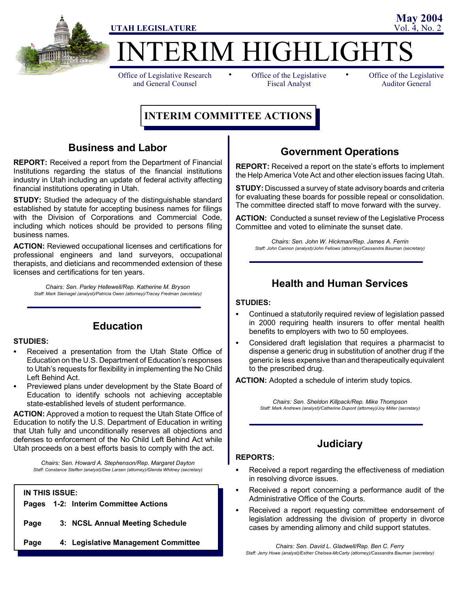

ERIM HIGHLIGHT

Office of Legislative Research and General Counsel

• Office of the Legislative • Fiscal Analyst

Office of the Legislative Auditor General

**May 2004**

# **INTERIM COMMITTEE ACTIONS**

### **Business and Labor**

**REPORT:** Received a report from the Department of Financial Institutions regarding the status of the financial institutions industry in Utah including an update of federal activity affecting financial institutions operating in Utah.

**STUDY:** Studied the adequacy of the distinguishable standard established by statute for accepting business names for filings with the Division of Corporations and Commercial Code, including which notices should be provided to persons filing business names.

**ACTION:** Reviewed occupational licenses and certifications for professional engineers and land surveyors, occupational therapists, and dieticians and recommended extension of these licenses and certifications for ten years.

*Chairs: Sen. Parley Hellewell/Rep. Katherine M. Bryson Staff: Mark Steinagel (analyst)/Patricia Owen (attorney)/Tracey Fredman (secretary)*

**Education**

### **STUDIES:**

- Received a presentation from the Utah State Office of Education on the U.S. Department of Education's responses to Utah's requests for flexibility in implementing the No Child Left Behind Act.
- Previewed plans under development by the State Board of Education to identify schools not achieving acceptable state-established levels of student performance.

**ACTION:** Approved a motion to request the Utah State Office of Education to notify the U.S. Department of Education in writing that Utah fully and unconditionally reserves all objections and defenses to enforcement of the No Child Left Behind Act while Utah proceeds on a best efforts basis to comply with the act.

*Chairs: Sen. Howard A. Stephenson/Rep. Margaret Dayton Staff: Constance Steffen (analyst)/Dee Larsen (attorney)/Glenda Whitney (secretary)*

#### **IN THIS ISSUE:**

**Pages 1-2: Interim Committee Actions**

- **Page 3: NCSL Annual Meeting Schedule**
- **Page 4: Legislative Management Committee**

### **Government Operations**

**REPORT:** Received a report on the state's efforts to implement the Help America Vote Act and other election issues facing Utah.

**STUDY:** Discussed a survey of state advisory boards and criteria for evaluating these boards for possible repeal or consolidation. The committee directed staff to move forward with the survey.

**ACTION:** Conducted a sunset review of the Legislative Process Committee and voted to eliminate the sunset date.

*Chairs: Sen. John W. Hickman/Rep. James A. Ferrin Staff: John Cannon (analyst)/John Fellows (attorney)/Cassandra Bauman (secretary)*

### **Health and Human Services**

#### **STUDIES:**

- Continued a statutorily required review of legislation passed in 2000 requiring health insurers to offer mental health benefits to employers with two to 50 employees.
- Considered draft legislation that requires a pharmacist to dispense a generic drug in substitution of another drug if the generic is less expensive than and therapeutically equivalent to the prescribed drug.

**ACTION:** Adopted a schedule of interim study topics.

*Chairs: Sen. Sheldon Killpack/Rep. Mike Thompson Staff: Mark Andrews (analyst)/Catherine Dupont (attorney)/Joy Miller (secretary)*

### **Judiciary**

#### **REPORTS:**

- Received a report regarding the effectiveness of mediation in resolving divorce issues.
- Received a report concerning a performance audit of the Administrative Office of the Courts.
- Received a report requesting committee endorsement of legislation addressing the division of property in divorce cases by amending alimony and child support statutes.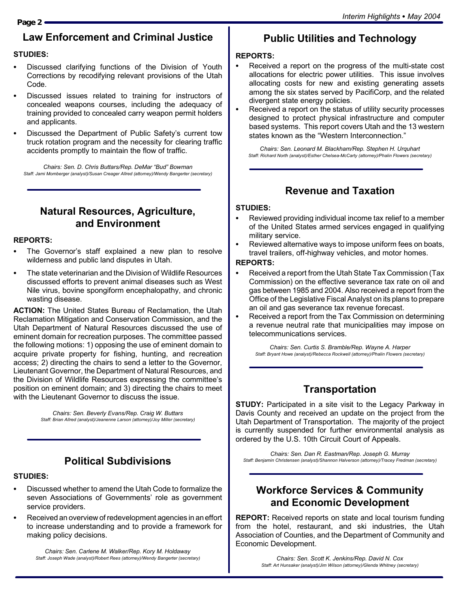# **Law Enforcement and Criminal Justice**

### **STUDIES:**

- Discussed clarifying functions of the Division of Youth Corrections by recodifying relevant provisions of the Utah Code.
- Discussed issues related to training for instructors of concealed weapons courses, including the adequacy of training provided to concealed carry weapon permit holders and applicants.
- Discussed the Department of Public Safety's current tow truck rotation program and the necessity for clearing traffic accidents promptly to maintain the flow of traffic.

*Chairs: Sen. D. Chris Buttars/Rep. DeMar "Bud" Bowman Staff: Jami Momberger (analyst)/Susan Creager Allred (attorney)/Wendy Bangerter (secretary)*

# **Natural Resources, Agriculture, and Environment**

#### **REPORTS:**

- The Governor's staff explained a new plan to resolve wilderness and public land disputes in Utah.
- The state veterinarian and the Division of Wildlife Resources discussed efforts to prevent animal diseases such as West Nile virus, bovine spongiform encephalopathy, and chronic wasting disease.

**ACTION:** The United States Bureau of Reclamation, the Utah Reclamation Mitigation and Conservation Commission, and the Utah Department of Natural Resources discussed the use of eminent domain for recreation purposes. The committee passed the following motions: 1) opposing the use of eminent domain to acquire private property for fishing, hunting, and recreation access; 2) directing the chairs to send a letter to the Governor, Lieutenant Governor, the Department of Natural Resources, and the Division of Wildlife Resources expressing the committee's position on eminent domain; and 3) directing the chairs to meet with the Lieutenant Governor to discuss the issue.

> *Chairs: Sen. Beverly Evans/Rep. Craig W. Buttars Staff: Brian Allred (analyst)/Jeanenne Larson (attorney)/Joy Miller (secretary)*

# **Political Subdivisions**

### **STUDIES:**

- Discussed whether to amend the Utah Code to formalize the seven Associations of Governments' role as government service providers.
- Received an overview of redevelopment agencies in an effort to increase understanding and to provide a framework for making policy decisions.

*Chairs: Sen. Carlene M. Walker/Rep. Kory M. Holdaway Staff: Joseph Wade (analyst)/Robert Rees (attorney)/Wendy Bangerter (secretary)*

# **Public Utilities and Technology**

### **REPORTS:**

- Received a report on the progress of the multi-state cost allocations for electric power utilities. This issue involves allocating costs for new and existing generating assets among the six states served by PacifiCorp, and the related divergent state energy policies.
- Received a report on the status of utility security processes designed to protect physical infrastructure and computer based systems. This report covers Utah and the 13 western states known as the "Western Interconnection."

*Chairs: Sen. Leonard M. Blackham/Rep. Stephen H. Urquhart Staff: Richard North (analyst)/Esther Chelsea-McCarty (attorney)/Phalin Flowers (secretary)*

## **Revenue and Taxation**

### **STUDIES:**

- Reviewed providing individual income tax relief to a member of the United States armed services engaged in qualifying military service.
- Reviewed alternative ways to impose uniform fees on boats, travel trailers, off-highway vehicles, and motor homes.

#### **REPORTS:**

- Received a report from the Utah State Tax Commission (Tax Commission) on the effective severance tax rate on oil and gas between 1985 and 2004. Also received a report from the Office of the Legislative Fiscal Analyst on its plans to prepare an oil and gas severance tax revenue forecast.
- Received a report from the Tax Commission on determining a revenue neutral rate that municipalities may impose on telecommunications services.

*Chairs: Sen. Curtis S. Bramble/Rep. Wayne A. Harper Staff: Bryant Howe (analyst)/Rebecca Rockwell (attorney)/Phalin Flowers (secretary)*

## **Transportation**

**STUDY:** Participated in a site visit to the Legacy Parkway in Davis County and received an update on the project from the Utah Department of Transportation. The majority of the project is currently suspended for further environmental analysis as ordered by the U.S. 10th Circuit Court of Appeals.

*Chairs: Sen. Dan R. Eastman/Rep. Joseph G. Murray Staff: Benjamin Christensen (analyst)/Shannon Halverson (attorney)/Tracey Fredman (secretary)*

## **Workforce Services & Community and Economic Development**

**REPORT:** Received reports on state and local tourism funding from the hotel, restaurant, and ski industries, the Utah Association of Counties, and the Department of Community and Economic Development.

### **Page 2**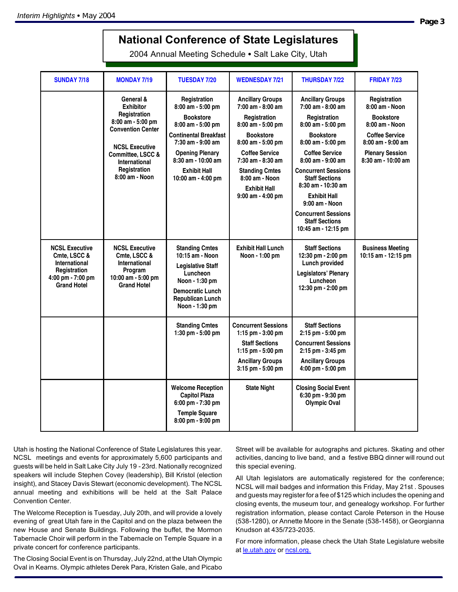# **National Conference of State Legislatures**

2004 Annual Meeting Schedule . Salt Lake City, Utah

| <b>SUNDAY 7/18</b>                                                                                                | <b>MONDAY 7/19</b>                                                                                                                                                                                     | <b>TUESDAY 7/20</b>                                                                                                                                                                                                   | <b>WEDNESDAY 7/21</b>                                                                                                                                                                                                                                              | <b>THURSDAY 7/22</b>                                                                                                                                                                                                                                                                                                                                                               | <b>FRIDAY 7/23</b>                                                                                                                                                     |
|-------------------------------------------------------------------------------------------------------------------|--------------------------------------------------------------------------------------------------------------------------------------------------------------------------------------------------------|-----------------------------------------------------------------------------------------------------------------------------------------------------------------------------------------------------------------------|--------------------------------------------------------------------------------------------------------------------------------------------------------------------------------------------------------------------------------------------------------------------|------------------------------------------------------------------------------------------------------------------------------------------------------------------------------------------------------------------------------------------------------------------------------------------------------------------------------------------------------------------------------------|------------------------------------------------------------------------------------------------------------------------------------------------------------------------|
|                                                                                                                   | General &<br><b>Exhibitor</b><br>Registration<br>8:00 am - 5:00 pm<br><b>Convention Center</b><br><b>NCSL Executive</b><br>Committee, LSCC &<br><b>International</b><br>Registration<br>8:00 am - Noon | Registration<br>8:00 am - 5:00 pm<br><b>Bookstore</b><br>8:00 am - 5:00 pm<br>Continental Breakfast<br>7:30 am - 9:00 am<br><b>Opening Plenary</b><br>8:30 am - 10:00 am<br><b>Exhibit Hall</b><br>10:00 am - 4:00 pm | <b>Ancillary Groups</b><br>7:00 am - 8:00 am<br>Registration<br>8:00 am - 5:00 pm<br><b>Bookstore</b><br>$8:00$ am $-5:00$ pm<br><b>Coffee Service</b><br>7:30 am - 8:30 am<br><b>Standing Cmtes</b><br>8:00 am - Noon<br><b>Exhibit Hall</b><br>9:00 am - 4:00 pm | <b>Ancillary Groups</b><br>7:00 am - 8:00 am<br>Registration<br>8:00 am - 5:00 pm<br><b>Bookstore</b><br>8:00 am - 5:00 pm<br><b>Coffee Service</b><br>$8:00$ am - $9:00$ am<br><b>Concurrent Sessions</b><br><b>Staff Sections</b><br>$8:30$ am - 10:30 am<br><b>Exhibit Hall</b><br>9:00 am - Noon<br><b>Concurrent Sessions</b><br><b>Staff Sections</b><br>10:45 am - 12:15 pm | Registration<br>8:00 am - Noon<br><b>Bookstore</b><br>8:00 am - Noon<br><b>Coffee Service</b><br>$8:00$ am - $9:00$ am<br><b>Plenary Session</b><br>8:30 am - 10:00 am |
| <b>NCSL Executive</b><br>Cmte. LSCC &<br>International<br>Registration<br>4:00 pm - 7:00 pm<br><b>Grand Hotel</b> | <b>NCSL Executive</b><br>Cmte. LSCC &<br>International<br>Program<br>10:00 am - 5:00 pm<br><b>Grand Hotel</b>                                                                                          | <b>Standing Cmtes</b><br>10:15 am - Noon<br><b>Legislative Staff</b><br>Luncheon<br>Noon - 1:30 pm<br><b>Democratic Lunch</b><br><b>Republican Lunch</b><br>Noon - 1:30 pm                                            | <b>Exhibit Hall Lunch</b><br>Noon - 1:00 pm                                                                                                                                                                                                                        | <b>Staff Sections</b><br>12:30 pm - 2:00 pm<br>Lunch provided<br>Legislators' Plenary<br>Luncheon<br>12:30 pm - 2:00 pm                                                                                                                                                                                                                                                            | <b>Business Meeting</b><br>10:15 am - 12:15 pm                                                                                                                         |
|                                                                                                                   |                                                                                                                                                                                                        | <b>Standing Cmtes</b><br>1:30 pm - 5:00 pm                                                                                                                                                                            | <b>Concurrent Sessions</b><br>1:15 pm $-$ 3:00 pm<br><b>Staff Sections</b><br>1:15 pm $-5:00$ pm<br><b>Ancillary Groups</b><br>3:15 pm - 5:00 pm                                                                                                                   | <b>Staff Sections</b><br>2:15 pm - 5:00 pm<br><b>Concurrent Sessions</b><br>2:15 pm - 3:45 pm<br><b>Ancillary Groups</b><br>4:00 pm - 5:00 pm                                                                                                                                                                                                                                      |                                                                                                                                                                        |
|                                                                                                                   |                                                                                                                                                                                                        | <b>Welcome Reception</b><br><b>Capitol Plaza</b><br>6:00 pm - 7:30 pm<br><b>Temple Square</b><br>8:00 pm - 9:00 pm                                                                                                    | <b>State Night</b>                                                                                                                                                                                                                                                 | <b>Closing Social Event</b><br>6:30 pm - 9:30 pm<br><b>Olympic Oval</b>                                                                                                                                                                                                                                                                                                            |                                                                                                                                                                        |

Utah is hosting the National Conference of State Legislatures this year. NCSL meetings and events for approximately 5,600 participants and guests will be held in Salt Lake City July 19 - 23rd. Nationally recognized speakers will include Stephen Covey (leadership), Bill Kristol (election insight), and Stacey Davis Stewart (economic development). The NCSL annual meeting and exhibitions will be held at the Salt Palace Convention Center.

The Welcome Reception is Tuesday, July 20th, and will provide a lovely evening of great Utah fare in the Capitol and on the plaza between the new House and Senate Buildings. Following the buffet, the Mormon Tabernacle Choir will perform in the Tabernacle on Temple Square in a private concert for conference participants.

The Closing Social Event is on Thursday, July 22nd, at the Utah Olympic Oval in Kearns. Olympic athletes Derek Para, Kristen Gale, and Picabo

Street will be available for autographs and pictures. Skating and other activities, dancing to live band, and a festive BBQ dinner will round out this special evening.

All Utah legislators are automatically registered for the conference; NCSL will mail badges and information this Friday, May 21st . Spouses and guests may register for a fee of \$125 which includes the opening and closing events, the museum tour, and genealogy workshop. For further registration information, please contact Carole Peterson in the House (538-1280), or Annette Moore in the Senate (538-1458), or Georgianna Knudson at 435/723-2035.

For more information, please check the Utah State Legislature website at le.utah.gov or ncsl.org.